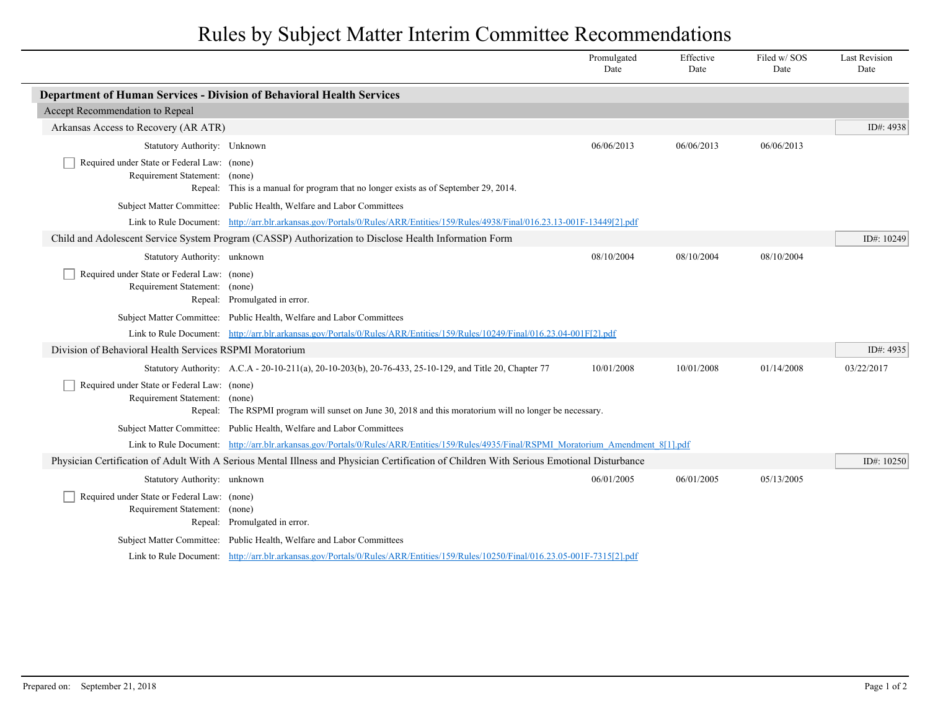## Rules by Subject Matter Interim Committee Recommendations

|                                                                                                                                           |                                                                                                                                          | Promulgated<br>Date | Effective<br>Date | Filed w/SOS<br>Date | <b>Last Revision</b><br>Date |
|-------------------------------------------------------------------------------------------------------------------------------------------|------------------------------------------------------------------------------------------------------------------------------------------|---------------------|-------------------|---------------------|------------------------------|
| Department of Human Services - Division of Behavioral Health Services                                                                     |                                                                                                                                          |                     |                   |                     |                              |
| Accept Recommendation to Repeal                                                                                                           |                                                                                                                                          |                     |                   |                     |                              |
| Arkansas Access to Recovery (AR ATR)                                                                                                      |                                                                                                                                          |                     |                   |                     | ID#: 4938                    |
| Statutory Authority: Unknown                                                                                                              |                                                                                                                                          | 06/06/2013          | 06/06/2013        | 06/06/2013          |                              |
| Required under State or Federal Law: (none)<br>Requirement Statement: (none)                                                              |                                                                                                                                          |                     |                   |                     |                              |
|                                                                                                                                           | Repeal: This is a manual for program that no longer exists as of September 29, 2014.                                                     |                     |                   |                     |                              |
|                                                                                                                                           | Subject Matter Committee: Public Health, Welfare and Labor Committees                                                                    |                     |                   |                     |                              |
|                                                                                                                                           | Link to Rule Document: http://arr.blr.arkansas.gov/Portals/0/Rules/ARR/Entities/159/Rules/4938/Final/016.23.13-001F-13449[2].pdf         |                     |                   |                     |                              |
| Child and Adolescent Service System Program (CASSP) Authorization to Disclose Health Information Form                                     |                                                                                                                                          |                     |                   |                     |                              |
| Statutory Authority: unknown                                                                                                              |                                                                                                                                          | 08/10/2004          | 08/10/2004        | 08/10/2004          |                              |
| Required under State or Federal Law: (none)<br>Requirement Statement: (none)                                                              | Repeal: Promulgated in error.                                                                                                            |                     |                   |                     |                              |
|                                                                                                                                           | Subject Matter Committee: Public Health, Welfare and Labor Committees                                                                    |                     |                   |                     |                              |
|                                                                                                                                           | Link to Rule Document: http://arr.blr.arkansas.gov/Portals/0/Rules/ARR/Entities/159/Rules/10249/Final/016.23.04-001F[2].pdf              |                     |                   |                     |                              |
| Division of Behavioral Health Services RSPMI Moratorium                                                                                   |                                                                                                                                          |                     |                   |                     | ID#: 4935                    |
|                                                                                                                                           | Statutory Authority: A.C.A - 20-10-211(a), 20-10-203(b), 20-76-433, 25-10-129, and Title 20, Chapter 77                                  | 10/01/2008          | 10/01/2008        | 01/14/2008          | 03/22/2017                   |
| Required under State or Federal Law: (none)<br>Requirement Statement: (none)                                                              | Repeal: The RSPMI program will sunset on June 30, 2018 and this moratorium will no longer be necessary.                                  |                     |                   |                     |                              |
|                                                                                                                                           | Subject Matter Committee: Public Health, Welfare and Labor Committees                                                                    |                     |                   |                     |                              |
|                                                                                                                                           | Link to Rule Document: http://arr.blr.arkansas.gov/Portals/0/Rules/ARR/Entities/159/Rules/4935/Final/RSPMI Moratorium Amendment 8[1].pdf |                     |                   |                     |                              |
| Physician Certification of Adult With A Serious Mental Illness and Physician Certification of Children With Serious Emotional Disturbance |                                                                                                                                          |                     |                   |                     |                              |
| Statutory Authority: unknown                                                                                                              |                                                                                                                                          | 06/01/2005          | 06/01/2005        | 05/13/2005          |                              |
| Required under State or Federal Law: (none)<br>Requirement Statement: (none)                                                              | Repeal: Promulgated in error.                                                                                                            |                     |                   |                     |                              |
|                                                                                                                                           | Subject Matter Committee: Public Health, Welfare and Labor Committees                                                                    |                     |                   |                     |                              |
|                                                                                                                                           | Link to Rule Document: http://arr.blr.arkansas.gov/Portals/0/Rules/ARR/Entities/159/Rules/10250/Final/016.23.05-001F-7315[2].pdf         |                     |                   |                     |                              |